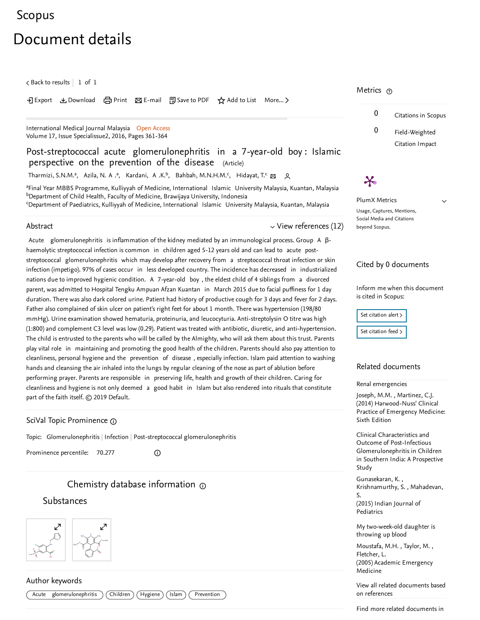# <span id="page-0-1"></span>[Scopus](https://www.scopus.com/home.uri?zone=header&origin=searchbasic)

# Document details

 $\zeta$  Back to [results](https://www.scopus.com/results/results.uri?sort=plf-f&src=s&st1=1823-4631&nlo=&nlr=&nls=&sid=1d081dcf024d1c292259c875ca839c95&sot=b&sdt=sisr&sl=15&s=ISSN%281823-4631%29&ref=%28Post-streptococcal+acute+glomerulonephritis+in+a+7-year-old+boy%3a+Islamic+perspective+on+the+prevention+of+the+disease%29&offset=1&origin=recordpage)  $\vert\,$   $\,$  1 of  $\,$  1  $\,$ 

#### • Export と Download (日 Print ) E-mail 阿 Save to PDF ☆ Add to List More... 〉

[International](https://www.scopus.com/sourceid/19900195005?origin=recordpage) Medical Journal Malaysia Open Access Volume 17, Issue Specialissue2, 2016, Pages 361-364

### Post-streptococcal acute glomerulonephritis in a 7-year-old boy : Islamic perspective on the prevention of the disease (Article)

[Tharmizi,](https://www.scopus.com/authid/detail.uri?authorId=57208683809&eid=2-s2.0-85065536475) S.N.M.ª, [Azila,](https://www.scopus.com/authid/detail.uri?authorId=57208692657&eid=2-s2.0-85065536475) N. A .ª, [Kardani,](https://www.scopus.com/authid/detail.uri?authorId=57208690398&eid=2-s2.0-85065536475) A .K.ʰ, Bahbah, [M.N.H.M.](https://www.scopus.com/authid/detail.uri?authorId=57208689746&eid=2-s2.0-85065536475)ˤ, [Hidayat,](https://www.scopus.com/authid/detail.uri?authorId=57208692422&eid=2-s2.0-85065536475) T.ˤ <sub>⊠</sub> Q

<sup>a</sup>Final Year MBBS Programme, Kulliyyah of Medicine, International Islamic University Malaysia, Kuantan, Malaysia <sup>b</sup>Department of Child Health, Faculty of Medicine, Brawijaya University, Indonesia <sup>c</sup>Department of Paediatrics, Kulliyyah of Medicine, International Islamic University Malaysia, Kuantan, Malaysia

#### Abstract

<span id="page-0-0"></span> $\vee$  View [references](#page-1-0) (12)

Acute glomerulonephritis is inflammation of the kidney mediated by an immunological process. Group A βhaemolytic streptococcal infection is common in children aged 5-12 years old and can lead to acute poststreptococcal glomerulonephritis which may develop after recovery from a streptococcal throat infection or skin infection (impetigo). 97% of cases occur in less developed country. The incidence has decreased in industrialized nations due to improved hygienic condition. A 7-year-old boy , the eldest child of 4 siblings from a divorced parent, was admitted to Hospital Tengku Ampuan Afzan Kuantan in March 2015 due to facial puffiness for 1 day duration. There was also dark colored urine. Patient had history of productive cough for 3 days and fever for 2 days. Father also complained of skin ulcer on patient's right feet for about 1 month. There was hypertension (198/80 mmHg). Urine examination showed hematuria, proteinuria, and leucocyturia. Anti-streptolysin O titre was high (1:800) and complement C3 level was low (0.29). Patient was treated with antibiotic, diuretic, and anti-hypertension. The child is entrusted to the parents who will be called by the Almighty, who will ask them about this trust. Parents play vital role in maintaining and promoting the good health of the children. Parents should also pay attention to cleanliness, personal hygiene and the prevention of disease , especially infection. Islam paid attention to washing hands and cleansing the air inhaled into the lungs by regular cleaning of the nose as part of ablution before performing prayer. Parents are responsible in preserving life, health and growth of their children. Caring for cleanliness and hygiene is not only deemed a good habit in Islam but also rendered into rituals that constitute part of the faith itself. © 2019 Default.

### SciVal Topic Prominence

Topic: Glomerulonephritis | Infection | Post-streptococcal glomerulonephritis

Prominence percentile: 70.277

# [C](https://www.reaxys.com/?origin=Scopus)hemistry database information  $\odot$

 $^\circledR$ 

## **Substances**



### Author keywords



Metrics <sub>⑦</sub>



 $\checkmark$ 



PlumX Metrics Usage, Captures, Mentions, Social Media and Citations beyond Scopus.

### Cited by 0 documents

Inform me when this document is cited in Scopus:

| Set citation alert > |
|----------------------|
| Set citation feed >  |

### Related documents

Renal [emergencies](https://www.scopus.com/record/display.uri?origin=recordpage&zone=relatedDocuments&eid=2-s2.0-84976549911&citeCnt=0&noHighlight=false&sort=plf-f&src=s&st1=1823-4631&nlo=&nlr=&nls=&sid=1d081dcf024d1c292259c875ca839c95&sot=b&sdt=sisr&sl=15&s=ISSN%281823-4631%29&ref=%28Post-streptococcal+acute+glomerulonephritis+in+a+7-year-old+boy%3a+Islamic+perspective+on+the+prevention+of+the+disease%29&relpos=0)

, [Joseph,](https://www.scopus.com/authid/detail.uri?origin=recordpage&authorId=7202499053&zone=relatedDocuments) M.M. [Martinez,](https://www.scopus.com/authid/detail.uri?origin=recordpage&authorId=57190027402&zone=relatedDocuments) C.J. (2014) Harwood-Nuss' Clinical Practice of Emergency Medicine: Sixth Edition

Clinical Characteristics and Outcome of Post-Infectious [Glomerulonephritis](https://www.scopus.com/record/display.uri?origin=recordpage&zone=relatedDocuments&eid=2-s2.0-84941997335&citeCnt=0&noHighlight=false&sort=plf-f&src=s&st1=1823-4631&nlo=&nlr=&nls=&sid=1d081dcf024d1c292259c875ca839c95&sot=b&sdt=sisr&sl=15&s=ISSN%281823-4631%29&ref=%28Post-streptococcal+acute+glomerulonephritis+in+a+7-year-old+boy%3a+Islamic+perspective+on+the+prevention+of+the+disease%29&relpos=1) in Children in Southern India: A Prospective Study

, [Gunasekaran,](https://www.scopus.com/authid/detail.uri?origin=recordpage&authorId=56600186500&zone=relatedDocuments) K. , [Krishnamurthy,](https://www.scopus.com/authid/detail.uri?origin=recordpage&authorId=16242081000&zone=relatedDocuments) S. Mahadevan, (2015) Indian Journal of Pediatrics S.

My [two-week-old](https://www.scopus.com/record/display.uri?origin=recordpage&zone=relatedDocuments&eid=2-s2.0-22544438707&citeCnt=0&noHighlight=false&sort=plf-f&src=s&st1=1823-4631&nlo=&nlr=&nls=&sid=1d081dcf024d1c292259c875ca839c95&sot=b&sdt=sisr&sl=15&s=ISSN%281823-4631%29&ref=%28Post-streptococcal+acute+glomerulonephritis+in+a+7-year-old+boy%3a+Islamic+perspective+on+the+prevention+of+the+disease%29&relpos=2) daughter is throwing up blood

, , [Moustafa,](https://www.scopus.com/authid/detail.uri?origin=recordpage&authorId=7101946955&zone=relatedDocuments) M.H. [Taylor,](https://www.scopus.com/authid/detail.uri?origin=recordpage&authorId=7406239979&zone=relatedDocuments) M. (2005) Academic Emergency Medicine [Fletcher,](https://www.scopus.com/authid/detail.uri?origin=recordpage&authorId=36855694100&zone=relatedDocuments) L.

View all related [documents](https://www.scopus.com/search/submit/mlt.uri?eid=2-s2.0-85065536475&src=s&all=true&origin=recordpage&method=ref&zone=relatedDocuments) based on references

Find more related documents in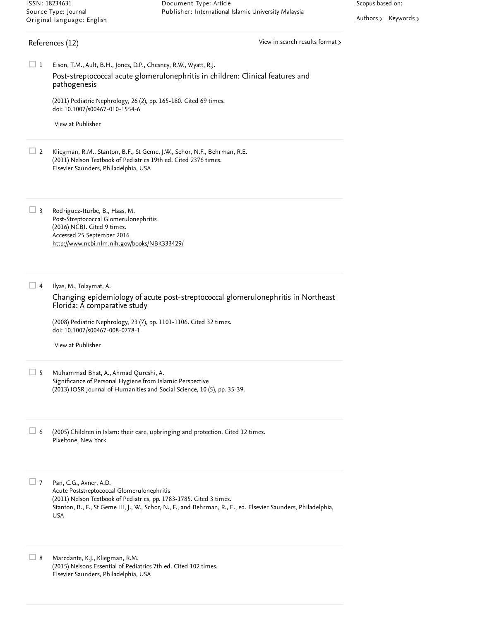[Authors](https://www.scopus.com/search/submit/mlt.uri?eid=2-s2.0-85065536475&src=s&all=true&origin=recordpage&method=aut&zone=relatedDocuments) > [Keywords](https://www.scopus.com/search/submit/mlt.uri?eid=2-s2.0-85065536475&src=s&all=true&origin=recordpage&method=key&zone=relatedDocuments) >

### <span id="page-1-0"></span>References (12)

View in search results [format](https://www.scopus.com/search/submit/references.uri?sort=plf-f&src=r&imp=t&sid=8642865570af9d6717cedbca7e4bf18a&sot=rec&sdt=citedreferences&sl=23&s=EID%282-s2.0-85065536475%29&origin=recordpage&citeCnt=1&citingId=2-s2.0-85065536475)  $\rightarrow$ 

Eison, T.M., Ault, B.H., Jones, D.P., Chesney, R.W., Wyatt, R.J.  $\Box$  1 Post-streptococcal acute [glomerulonephritis](https://www.scopus.com/record/display.uri?eid=2-s2.0-78751572963&origin=reflist&sort=plf-f&src=s&st1=1823-4631&nlo=&nlr=&nls=&sid=1d081dcf024d1c292259c875ca839c95&sot=b&sdt=sisr&sl=15&s=ISSN%281823-4631%29&ref=%28Post-streptococcal+acute+glomerulonephritis+in+a+7-year-old+boy%3a+Islamic+perspective+on+the+prevention+of+the+disease%29&recordRank=) in children: Clinical features and pathogenesis

(2011) Pediatric Nephrology, 26 (2), pp. 165-180. Cited 69 [times](https://www.scopus.com/search/submit/citedby.uri?eid=2-s2.0-85065536475&refeid=2-s2.0-78751572963&src=s&origin=reflist&refstat=core). doi: 10.1007/s00467-010-1554-6

View at [Publisher](https://www.scopus.com/redirect/linking.uri?targetURL=https%3a%2f%2fdoi.org%2f10.1007%2fs00467-010-1554-6&locationID=3&categoryID=4&eid=2-s2.0-78751572963&issn=0931041X&linkType=ViewAtPublisher&year=2011&origin=reflist&dig=0da1f117c69d2131d045c510440a766e&recordRank=)

Kliegman, R.M., Stanton, B.F., St Geme, J.W., Schor, N.F., Behrman, R.E. (2011) Nelson Textbook of Pediatrics 19th ed. Cited 2376 [times](https://www.scopus.com/search/submit/citedby.uri?eid=2-s2.0-85065536475&refeid=2-s2.0-0004160328&src=s&origin=reflist&refstat=dummy). Elsevier Saunders, Philadelphia, USA  $\Box$  2

Rodriguez-Iturbe, B., Haas, M. Post-Streptococcal Glomerulonephritis (2016) NCBI. Cited 9 [times](https://www.scopus.com/search/submit/citedby.uri?eid=2-s2.0-85065536475&refeid=2-s2.0-85016300558&src=s&origin=reflist&refstat=dummy). Accessed 25 September 2016  $\Box$  3 <http://www.ncbi.nlm.nih.gov/books/NBK333429/>

Ilyas, M., Tolaymat, A.  $\Box$  4

> Changing epidemiology of acute post-streptococcal [glomerulonephritis](https://www.scopus.com/record/display.uri?eid=2-s2.0-44449154209&origin=reflist&sort=plf-f&src=s&st1=1823-4631&nlo=&nlr=&nls=&sid=1d081dcf024d1c292259c875ca839c95&sot=b&sdt=sisr&sl=15&s=ISSN%281823-4631%29&ref=%28Post-streptococcal+acute+glomerulonephritis+in+a+7-year-old+boy%3a+Islamic+perspective+on+the+prevention+of+the+disease%29&recordRank=) in Northeast Florida: A comparative study

(2008) Pediatric Nephrology, 23 (7), pp. 1101-1106. Cited 32 [times](https://www.scopus.com/search/submit/citedby.uri?eid=2-s2.0-85065536475&refeid=2-s2.0-44449154209&src=s&origin=reflist&refstat=core). doi: 10.1007/s00467-008-0778-1

View at [Publisher](https://www.scopus.com/redirect/linking.uri?targetURL=https%3a%2f%2fdoi.org%2f10.1007%2fs00467-008-0778-1&locationID=3&categoryID=4&eid=2-s2.0-44449154209&issn=0931041X&linkType=ViewAtPublisher&year=2008&origin=reflist&dig=7c5c8318e19cc104ae3b7b676f7d7cdc&recordRank=)

Muhammad Bhat, A., Ahmad Qureshi, A. Significance of Personal Hygiene from Islamic Perspective (2013) IOSR Journal of Humanities and Social Science, 10 (5), pp. 35-39.  $\Box$  5

(2005) Children in Islam: their care, upbringing and protection. Cited 12 times. Pixeltone, New York 6 (2005) Children in Islam: their care, upbringing and protection. Cited 12 [times](https://www.scopus.com/search/submit/citedby.uri?eid=2-s2.0-85065536475&refeid=2-s2.0-57049165622&src=s&origin=reflist&refstat=dummy)<br>Pixeltone, New York<br>7 Pan, C.G., Avner, A.D.

Pan, C.G., Avner, A.D. Acute Poststreptococcal Glomerulonephritis (2011) Nelson Textbook of Pediatrics, pp. 1783-1785. Cited 3 [times](https://www.scopus.com/search/submit/citedby.uri?eid=2-s2.0-85065536475&refeid=2-s2.0-84941993499&src=s&origin=reflist&refstat=dummy). Stanton, B., F., St Geme III, J., W., Schor, N., F., and Behrman, R., E., ed. Elsevier Saunders, Philadelphia, USA

Marcdante, K.J., Kliegman, R.M. (2015) Nelsons Essential of Pediatrics 7th ed. Cited 102 [times](https://www.scopus.com/search/submit/citedby.uri?eid=2-s2.0-85065536475&refeid=2-s2.0-0004229037&src=s&origin=reflist&refstat=dummy). Elsevier Saunders, Philadelphia, USA  $\Box$  8